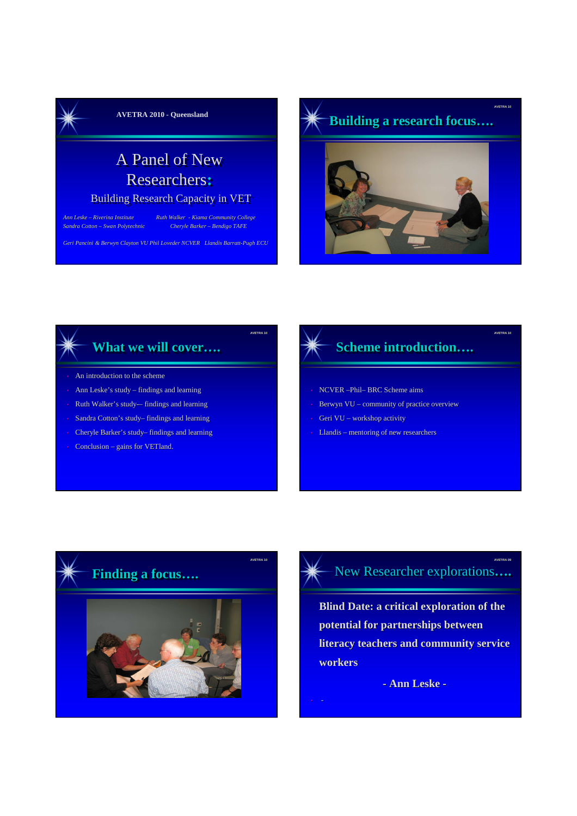

# A Panel of New Researchers**:**

#### Building Research Capacity in VET

*Sandra Cotton – Swan Polytechnic Cheryle Barker – Bendigo TAFE*

*Ann Leske – Riverina Institute Ruth Walker - Kiama Community College*

**AVETRA 10**

*Geri Pancini & Berwyn Clayton VU Phil Loveder NCVER Llandis Barratt-Pugh ECU*



**AVETRA 10**

#### **What we will cover….**

- An introduction to the scheme
- Ann Leske's study findings and learning
- Ruth Walker's study-- findings and learning
- Sandra Cotton's study– findings and learning
- Cheryle Barker's study– findings and learning
- Conclusion gains for VETland.

# $Scheme$  **introduction....**

- NCVER –Phil– BRC Scheme aims
- Berwyn VU community of practice overview
- Geri VU workshop activity
- Llandis mentoring of new researchers





**Blind Date: a critical exploration of the potential for partnerships between literacy teachers and community service workers** 

**- Ann Leske -**